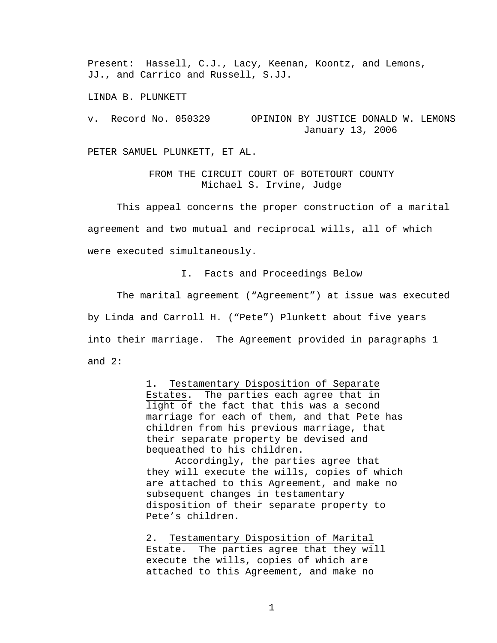Present: Hassell, C.J., Lacy, Keenan, Koontz, and Lemons, JJ., and Carrico and Russell, S.JJ.

LINDA B. PLUNKETT

v. Record No. 050329 OPINION BY JUSTICE DONALD W. LEMONS January 13, 2006

PETER SAMUEL PLUNKETT, ET AL.

FROM THE CIRCUIT COURT OF BOTETOURT COUNTY Michael S. Irvine, Judge

 This appeal concerns the proper construction of a marital agreement and two mutual and reciprocal wills, all of which were executed simultaneously.

I. Facts and Proceedings Below

 The marital agreement ("Agreement") at issue was executed by Linda and Carroll H. ("Pete") Plunkett about five years into their marriage. The Agreement provided in paragraphs 1 and 2:

> 1. Testamentary Disposition of Separate Estates. The parties each agree that in light of the fact that this was a second marriage for each of them, and that Pete has children from his previous marriage, that their separate property be devised and bequeathed to his children.

> Accordingly, the parties agree that they will execute the wills, copies of which are attached to this Agreement, and make no subsequent changes in testamentary disposition of their separate property to Pete's children.

2. Testamentary Disposition of Marital Estate. The parties agree that they will execute the wills, copies of which are attached to this Agreement, and make no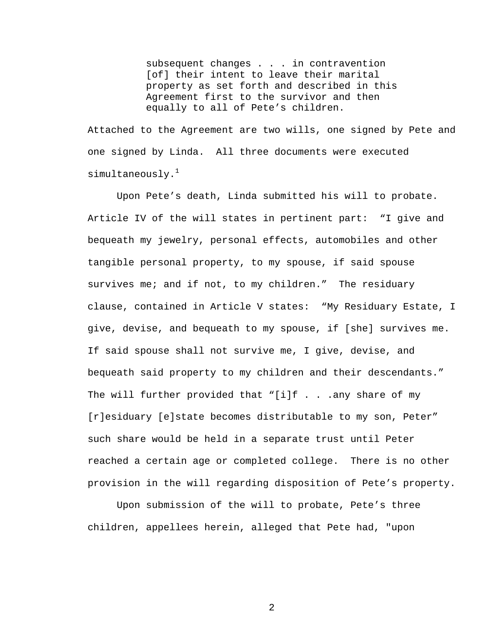subsequent changes . . . in contravention [of] their intent to leave their marital property as set forth and described in this Agreement first to the survivor and then equally to all of Pete's children.

Attached to the Agreement are two wills, one signed by Pete and one signed by Linda. All three documents were executed simultaneously. $1$ 

 Upon Pete's death, Linda submitted his will to probate. Article IV of the will states in pertinent part: "I give and bequeath my jewelry, personal effects, automobiles and other tangible personal property, to my spouse, if said spouse survives me; and if not, to my children." The residuary clause, contained in Article V states: "My Residuary Estate, I give, devise, and bequeath to my spouse, if [she] survives me. If said spouse shall not survive me, I give, devise, and bequeath said property to my children and their descendants." The will further provided that "[i]f . . .any share of my [r]esiduary [e]state becomes distributable to my son, Peter" such share would be held in a separate trust until Peter reached a certain age or completed college. There is no other provision in the will regarding disposition of Pete's property.

 Upon submission of the will to probate, Pete's three children, appellees herein, alleged that Pete had, "upon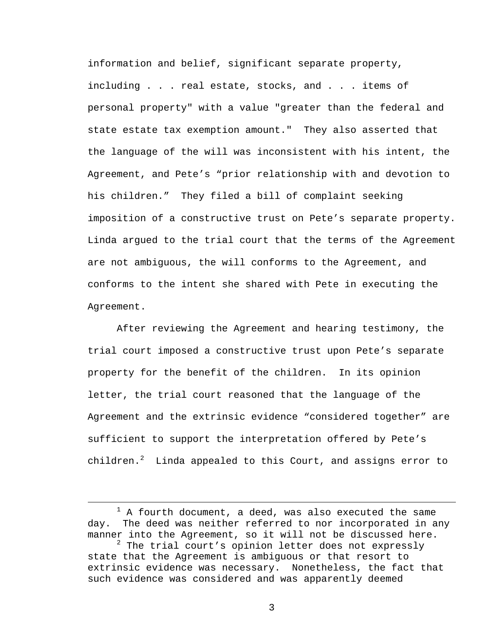information and belief, significant separate property, including . . . real estate, stocks, and . . . items of personal property" with a value "greater than the federal and state estate tax exemption amount." They also asserted that the language of the will was inconsistent with his intent, the Agreement, and Pete's "prior relationship with and devotion to his children." They filed a bill of complaint seeking imposition of a constructive trust on Pete's separate property. Linda argued to the trial court that the terms of the Agreement are not ambiguous, the will conforms to the Agreement, and conforms to the intent she shared with Pete in executing the Agreement.

 After reviewing the Agreement and hearing testimony, the trial court imposed a constructive trust upon Pete's separate property for the benefit of the children. In its opinion letter, the trial court reasoned that the language of the Agreement and the extrinsic evidence "considered together" are sufficient to support the interpretation offered by Pete's children. $^2$  Linda appealed to this Court, and assigns error to

<sup>&</sup>lt;u>1</u>  $1$  A fourth document, a deed, was also executed the same day. The deed was neither referred to nor incorporated in any manner into the Agreement, so it will not be discussed here.

 $^2$  The trial court's opinion letter does not expressly state that the Agreement is ambiguous or that resort to extrinsic evidence was necessary. Nonetheless, the fact that such evidence was considered and was apparently deemed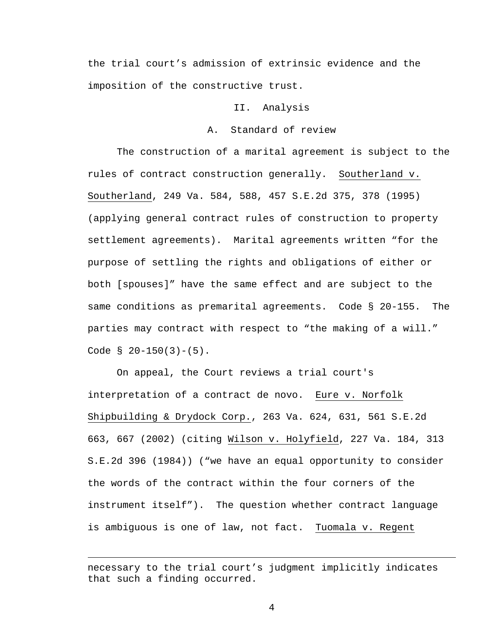the trial court's admission of extrinsic evidence and the imposition of the constructive trust.

#### II. Analysis

### A. Standard of review

 The construction of a marital agreement is subject to the rules of contract construction generally. Southerland v. Southerland, 249 Va. 584, 588, 457 S.E.2d 375, 378 (1995) (applying general contract rules of construction to property settlement agreements). Marital agreements written "for the purpose of settling the rights and obligations of either or both [spouses]" have the same effect and are subject to the same conditions as premarital agreements. Code § 20-155. The parties may contract with respect to "the making of a will." Code  $\S$  20-150(3)-(5).

 On appeal, the Court reviews a trial court's interpretation of a contract de novo. Eure v. Norfolk Shipbuilding & Drydock Corp., 263 Va. 624, 631, 561 S.E.2d 663, 667 (2002) (citing Wilson v. Holyfield, 227 Va. 184, 313 S.E.2d 396 (1984)) ("we have an equal opportunity to consider the words of the contract within the four corners of the instrument itself"). The question whether contract language is ambiguous is one of law, not fact.Tuomala v. Regent

necessary to the trial court's judgment implicitly indicates that such a finding occurred.

i<br>Li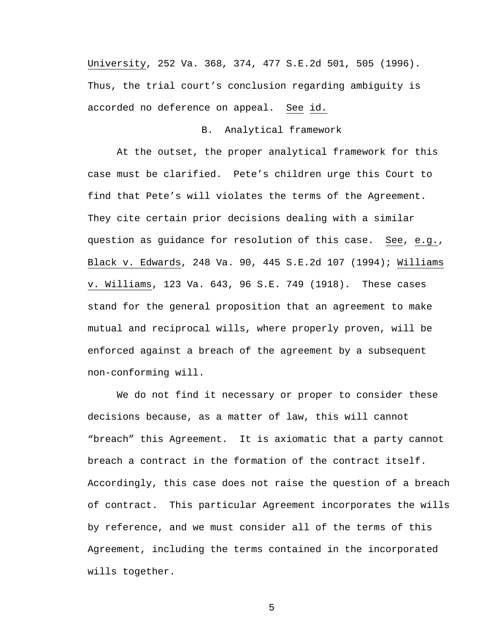University, 252 Va. 368, 374, 477 S.E.2d 501, 505 (1996). Thus, the trial court's conclusion regarding ambiguity is accorded no deference on appeal. See id.

## B. Analytical framework

 At the outset, the proper analytical framework for this case must be clarified. Pete's children urge this Court to find that Pete's will violates the terms of the Agreement. They cite certain prior decisions dealing with a similar question as guidance for resolution of this case. See, e.g., Black v. Edwards, 248 Va. 90, 445 S.E.2d 107 (1994); Williams v. Williams, 123 Va. 643, 96 S.E. 749 (1918). These cases stand for the general proposition that an agreement to make mutual and reciprocal wills, where properly proven, will be enforced against a breach of the agreement by a subsequent non-conforming will.

 We do not find it necessary or proper to consider these decisions because, as a matter of law, this will cannot "breach" this Agreement. It is axiomatic that a party cannot breach a contract in the formation of the contract itself. Accordingly, this case does not raise the question of a breach of contract. This particular Agreement incorporates the wills by reference, and we must consider all of the terms of this Agreement, including the terms contained in the incorporated wills together.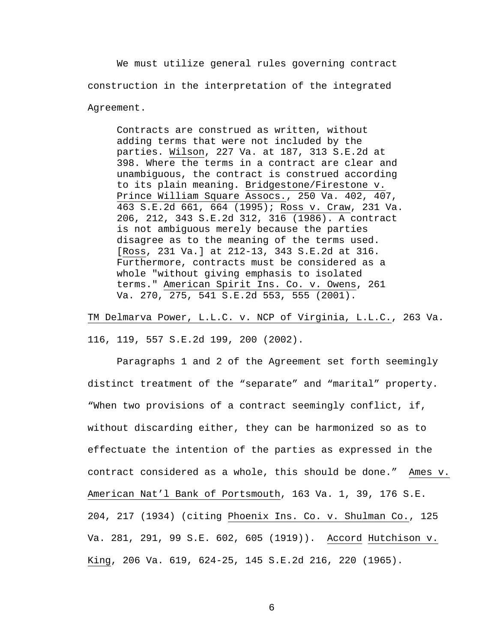We must utilize general rules governing contract construction in the interpretation of the integrated Agreement.

 Contracts are construed as written, without adding terms that were not included by the parties. Wilson, 227 Va. at 187, 313 S.E.2d at 398. Where the terms in a contract are clear and unambiguous, the contract is construed according to its plain meaning. Bridgestone/Firestone v. Prince William Square Assocs., 250 Va. 402, 407, 463 S.E.2d 661, 664 (1995); Ross v. Craw, 231 Va. 206, 212, 343 S.E.2d 312, 316 (1986). A contract is not ambiguous merely because the parties disagree as to the meaning of the terms used. [Ross, 231 Va.] at 212-13, 343 S.E.2d at 316. Furthermore, contracts must be considered as a whole "without giving emphasis to isolated terms." American Spirit Ins. Co. v. Owens, 261 Va. 270, 275, 541 S.E.2d 553, 555 (2001).

TM Delmarva Power, L.L.C. v. NCP of Virginia, L.L.C., 263 Va. 116, 119, 557 S.E.2d 199, 200 (2002).

 Paragraphs 1 and 2 of the Agreement set forth seemingly distinct treatment of the "separate" and "marital" property. "When two provisions of a contract seemingly conflict, if, without discarding either, they can be harmonized so as to effectuate the intention of the parties as expressed in the contract considered as a whole, this should be done." Ames v. American Nat'l Bank of Portsmouth, 163 Va. 1, 39, 176 S.E. 204, 217 (1934) (citing Phoenix Ins. Co. v. Shulman Co., 125 Va. 281, 291, 99 S.E. 602, 605 (1919)). Accord Hutchison v. King, 206 Va. 619, 624-25, 145 S.E.2d 216, 220 (1965).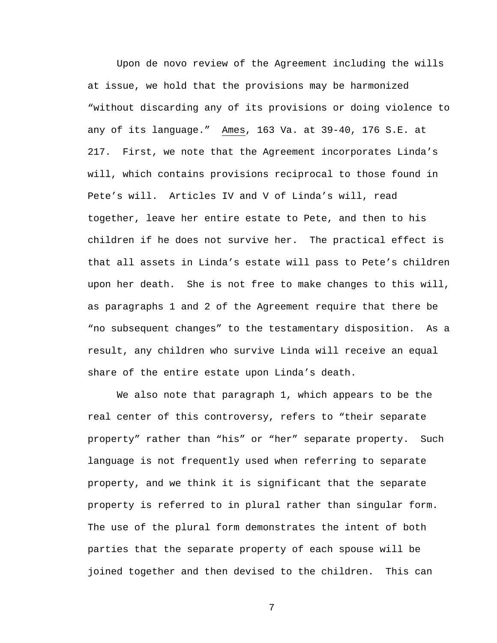Upon de novo review of the Agreement including the wills at issue, we hold that the provisions may be harmonized "without discarding any of its provisions or doing violence to any of its language." Ames, 163 Va. at 39-40, 176 S.E. at 217. First, we note that the Agreement incorporates Linda's will, which contains provisions reciprocal to those found in Pete's will. Articles IV and V of Linda's will, read together, leave her entire estate to Pete, and then to his children if he does not survive her. The practical effect is that all assets in Linda's estate will pass to Pete's children upon her death. She is not free to make changes to this will, as paragraphs 1 and 2 of the Agreement require that there be "no subsequent changes" to the testamentary disposition. As a result, any children who survive Linda will receive an equal share of the entire estate upon Linda's death.

 We also note that paragraph 1, which appears to be the real center of this controversy, refers to "their separate property" rather than "his" or "her" separate property. Such language is not frequently used when referring to separate property, and we think it is significant that the separate property is referred to in plural rather than singular form. The use of the plural form demonstrates the intent of both parties that the separate property of each spouse will be joined together and then devised to the children. This can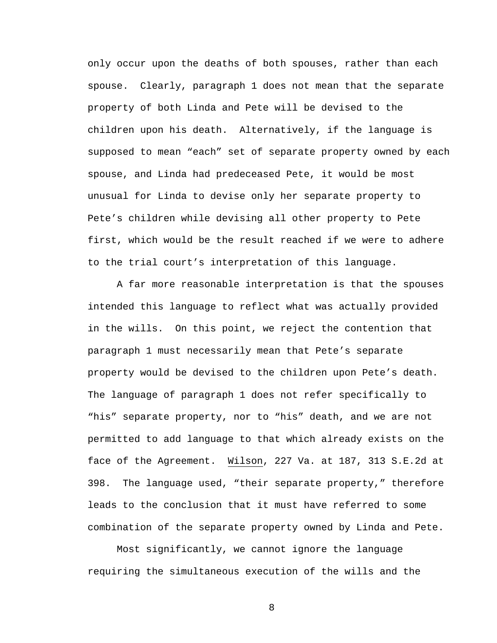only occur upon the deaths of both spouses, rather than each spouse. Clearly, paragraph 1 does not mean that the separate property of both Linda and Pete will be devised to the children upon his death. Alternatively, if the language is supposed to mean "each" set of separate property owned by each spouse, and Linda had predeceased Pete, it would be most unusual for Linda to devise only her separate property to Pete's children while devising all other property to Pete first, which would be the result reached if we were to adhere to the trial court's interpretation of this language.

 A far more reasonable interpretation is that the spouses intended this language to reflect what was actually provided in the wills. On this point, we reject the contention that paragraph 1 must necessarily mean that Pete's separate property would be devised to the children upon Pete's death. The language of paragraph 1 does not refer specifically to "his" separate property, nor to "his" death, and we are not permitted to add language to that which already exists on the face of the Agreement. Wilson, 227 Va. at 187, 313 S.E.2d at 398. The language used, "their separate property," therefore leads to the conclusion that it must have referred to some combination of the separate property owned by Linda and Pete.

 Most significantly, we cannot ignore the language requiring the simultaneous execution of the wills and the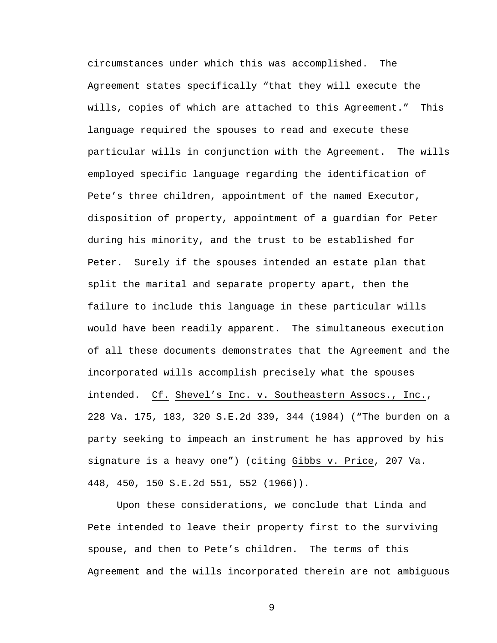circumstances under which this was accomplished. The Agreement states specifically "that they will execute the wills, copies of which are attached to this Agreement." This language required the spouses to read and execute these particular wills in conjunction with the Agreement. The wills employed specific language regarding the identification of Pete's three children, appointment of the named Executor, disposition of property, appointment of a guardian for Peter during his minority, and the trust to be established for Peter. Surely if the spouses intended an estate plan that split the marital and separate property apart, then the failure to include this language in these particular wills would have been readily apparent. The simultaneous execution of all these documents demonstrates that the Agreement and the incorporated wills accomplish precisely what the spouses intended. Cf. Shevel's Inc. v. Southeastern Assocs., Inc., 228 Va. 175, 183, 320 S.E.2d 339, 344 (1984) ("The burden on a party seeking to impeach an instrument he has approved by his signature is a heavy one") (citing Gibbs v. Price, 207 Va. 448, 450, 150 S.E.2d 551, 552 (1966)).

 Upon these considerations, we conclude that Linda and Pete intended to leave their property first to the surviving spouse, and then to Pete's children. The terms of this Agreement and the wills incorporated therein are not ambiguous